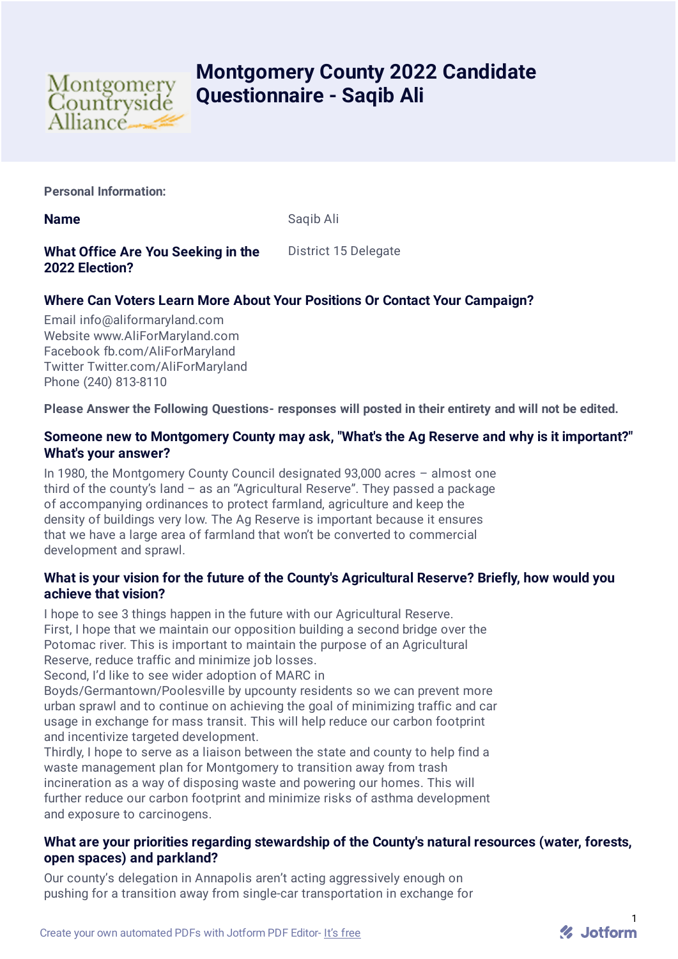

# **Montgomery County 2022 Candidate Questionnaire - Saqib Ali**

**Personal Information:**

**Name** Saqib Ali

# **What Office Are You Seeking in the 2022 Election?**

District 15 Delegate

# **Where Can Voters Learn More About Your Positions Or Contact Your Campaign?**

Email info@aliformaryland.com Website www.AliForMaryland.com Facebook fb.com/AliForMaryland Twitter Twitter.com/AliForMaryland Phone (240) 813-8110

**Please Answer the Following Questions- responses will posted in their entirety and will not be edited.**

# **Someone new to Montgomery County may ask, "What's the Ag Reserve and why is it important?" What's your answer?**

In 1980, the Montgomery County Council designated 93,000 acres – almost one third of the county's land – as an "Agricultural Reserve". They passed a package of accompanying ordinances to protect farmland, agriculture and keep the density of buildings very low. The Ag Reserve is important because it ensures that we have a large area of farmland that won't be converted to commercial development and sprawl.

# **What is your vision for the future of the County's Agricultural Reserve? Briefly, how would you achieve that vision?**

I hope to see 3 things happen in the future with our Agricultural Reserve. First, I hope that we maintain our opposition building a second bridge over the Potomac river. This is important to maintain the purpose of an Agricultural Reserve, reduce traffic and minimize job losses.

Second, I'd like to see wider adoption of MARC in

Boyds/Germantown/Poolesville by upcounty residents so we can prevent more urban sprawl and to continue on achieving the goal of minimizing traffic and car usage in exchange for mass transit. This will help reduce our carbon footprint and incentivize targeted development.

Thirdly, I hope to serve as a liaison between the state and county to help find a waste management plan for Montgomery to transition away from trash incineration as a way of disposing waste and powering our homes. This will further reduce our carbon footprint and minimize risks of asthma development and exposure to carcinogens.

# **What are your priorities regarding stewardship of the County's natural resources (water, forests, open spaces) and parkland?**

Our county's delegation in Annapolis aren't acting aggressively enough on pushing for a transition away from single-car transportation in exchange for

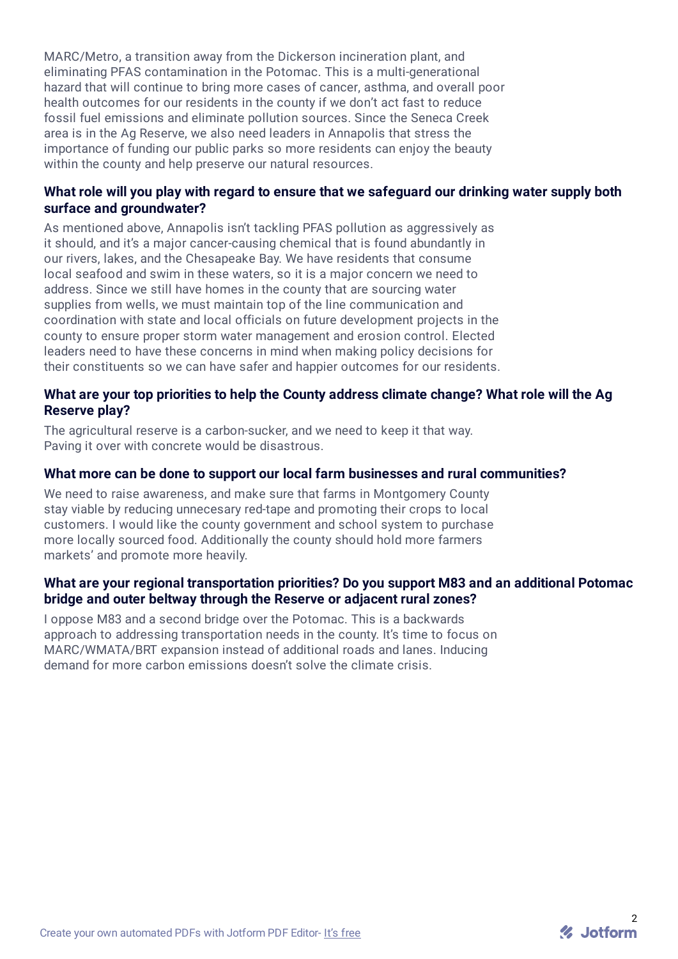MARC/Metro, a transition away from the Dickerson incineration plant, and eliminating PFAS contamination in the Potomac. This is a multi-generational hazard that will continue to bring more cases of cancer, asthma, and overall poor health outcomes for our residents in the county if we don't act fast to reduce fossil fuel emissions and eliminate pollution sources. Since the Seneca Creek area is in the Ag Reserve, we also need leaders in Annapolis that stress the importance of funding our public parks so more residents can enjoy the beauty within the county and help preserve our natural resources.

# **What role will you play with regard to ensure that we safeguard our drinking water supply both surface and groundwater?**

As mentioned above, Annapolis isn't tackling PFAS pollution as aggressively as it should, and it's a major cancer-causing chemical that is found abundantly in our rivers, lakes, and the Chesapeake Bay. We have residents that consume local seafood and swim in these waters, so it is a major concern we need to address. Since we still have homes in the county that are sourcing water supplies from wells, we must maintain top of the line communication and coordination with state and local officials on future development projects in the county to ensure proper storm water management and erosion control. Elected leaders need to have these concerns in mind when making policy decisions for their constituents so we can have safer and happier outcomes for our residents.

#### **What are your top priorities to help the County address climate change? What role will the Ag Reserve play?**

The agricultural reserve is a carbon-sucker, and we need to keep it that way. Paving it over with concrete would be disastrous.

#### **What more can be done to support our local farm businesses and rural communities?**

We need to raise awareness, and make sure that farms in Montgomery County stay viable by reducing unnecesary red-tape and promoting their crops to local customers. I would like the county government and school system to purchase more locally sourced food. Additionally the county should hold more farmers markets' and promote more heavily.

#### **What are your regional transportation priorities? Do you support M83 and an additional Potomac bridge and outer beltway through the Reserve or adjacent rural zones?**

I oppose M83 and a second bridge over the Potomac. This is a backwards approach to addressing transportation needs in the county. It's time to focus on MARC/WMATA/BRT expansion instead of additional roads and lanes. Inducing demand for more carbon emissions doesn't solve the climate crisis.